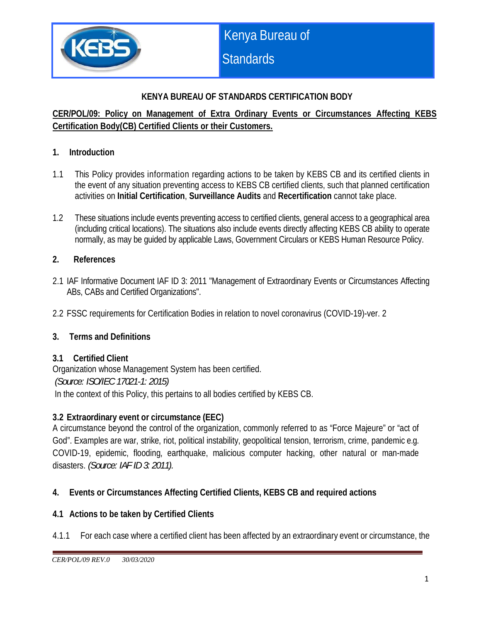

## **KENYA BUREAU OF STANDARDS CERTIFICATION BODY**

## **CER/POL/09: Policy on Management of Extra Ordinary Events or Circumstances Affecting KEBS Certification Body(CB) Certified Clients or their Customers.**

#### **1. Introduction**

- 1.1 This Policy provides information regarding actions to be taken by KEBS CB and its certified clients in the event of any situation preventing access to KEBS CB certified clients, such that planned certification activities on **Initial Certification**, **Surveillance Audits** and **Recertification** cannot take place.
- 1.2 These situations include events preventing access to certified clients, general access to a geographical area (including critical locations). The situations also include events directly affecting KEBS CB ability to operate normally, as may be guided by applicable Laws, Government Circulars or KEBS Human Resource Policy.

#### **2. References**

- 2.1 IAF Informative Document IAF ID 3: 2011 "Management of Extraordinary Events or Circumstances Affecting ABs, CABs and Certified Organizations".
- 2.2 FSSC requirements for Certification Bodies in relation to novel coronavirus (COVID-19)-ver. 2

## **3. Terms and Definitions**

#### **3.1 Certified Client**

Organization whose Management System has been certified.  *(Source: ISO/IEC 17021-1: 2015)* In the context of this Policy, this pertains to all bodies certified by KEBS CB.

## **3.2 Extraordinary event or circumstance (EEC)**

A circumstance beyond the control of the organization, commonly referred to as "Force Majeure" or "act of God". Examples are war, strike, riot, political instability, geopolitical tension, terrorism, crime, pandemic e.g. COVID-19, epidemic, flooding, earthquake, malicious computer hacking, other natural or man-made disasters. *(Source: IAF ID 3: 2011).*

## **4. Events or Circumstances Affecting Certified Clients, KEBS CB and required actions**

#### **4.1 Actions to be taken by Certified Clients**

4.1.1 For each case where a certified client has been affected by an extraordinary event or circumstance, the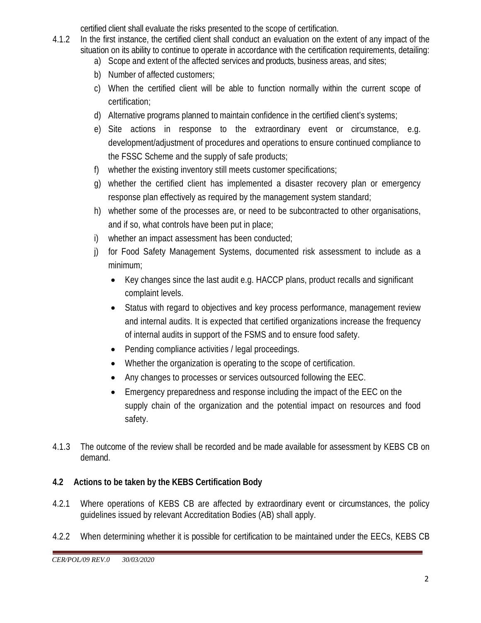certified client shall evaluate the risks presented to the scope of certification.

- 4.1.2 In the first instance, the certified client shall conduct an evaluation on the extent of any impact of the situation on its ability to continue to operate in accordance with the certification requirements, detailing:
	- a) Scope and extent of the affected services and products, business areas, and sites;
	- b) Number of affected customers;
	- c) When the certified client will be able to function normally within the current scope of certification;
	- d) Alternative programs planned to maintain confidence in the certified client's systems;
	- e) Site actions in response to the extraordinary event or circumstance, e.g. development/adjustment of procedures and operations to ensure continued compliance to the FSSC Scheme and the supply of safe products;
	- f) whether the existing inventory still meets customer specifications;
	- g) whether the certified client has implemented a disaster recovery plan or emergency response plan effectively as required by the management system standard;
	- h) whether some of the processes are, or need to be subcontracted to other organisations, and if so, what controls have been put in place;
	- i) whether an impact assessment has been conducted;
	- j) for Food Safety Management Systems, documented risk assessment to include as a minimum;
		- Key changes since the last audit e.g. HACCP plans, product recalls and significant complaint levels.
		- Status with regard to objectives and key process performance, management review and internal audits. It is expected that certified organizations increase the frequency of internal audits in support of the FSMS and to ensure food safety.
		- Pending compliance activities / legal proceedings.
		- Whether the organization is operating to the scope of certification.
		- Any changes to processes or services outsourced following the EEC.
		- Emergency preparedness and response including the impact of the EEC on the supply chain of the organization and the potential impact on resources and food safety.
- 4.1.3 The outcome of the review shall be recorded and be made available for assessment by KEBS CB on demand.

# **4.2 Actions to be taken by the KEBS Certification Body**

- 4.2.1 Where operations of KEBS CB are affected by extraordinary event or circumstances, the policy guidelines issued by relevant Accreditation Bodies (AB) shall apply.
- 4.2.2 When determining whether it is possible for certification to be maintained under the EECs, KEBS CB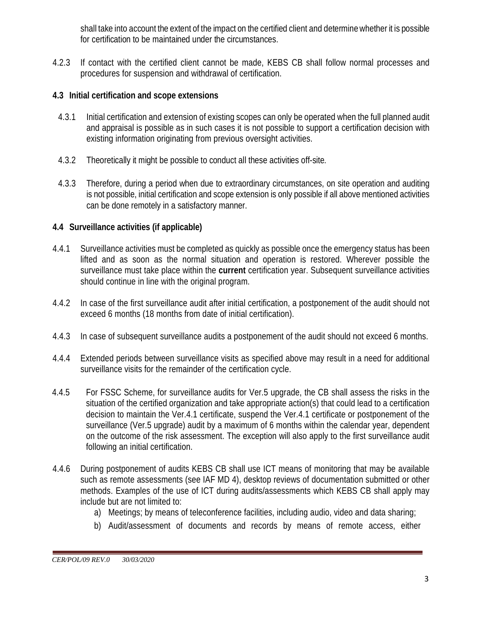shall take into account the extent of the impact on the certified client and determine whether it is possible for certification to be maintained under the circumstances.

4.2.3 If contact with the certified client cannot be made, KEBS CB shall follow normal processes and procedures for suspension and withdrawal of certification.

#### **4.3 Initial certification and scope extensions**

- 4.3.1 Initial certification and extension of existing scopes can only be operated when the full planned audit and appraisal is possible as in such cases it is not possible to support a certification decision with existing information originating from previous oversight activities.
- 4.3.2 Theoretically it might be possible to conduct all these activities off-site.
- 4.3.3 Therefore, during a period when due to extraordinary circumstances, on site operation and auditing is not possible, initial certification and scope extension is only possible if all above mentioned activities can be done remotely in a satisfactory manner.

## **4.4 Surveillance activities (if applicable)**

- 4.4.1 Surveillance activities must be completed as quickly as possible once the emergency status has been lifted and as soon as the normal situation and operation is restored. Wherever possible the surveillance must take place within the **current** certification year. Subsequent surveillance activities should continue in line with the original program.
- 4.4.2 In case of the first surveillance audit after initial certification, a postponement of the audit should not exceed 6 months (18 months from date of initial certification).
- 4.4.3 In case of subsequent surveillance audits a postponement of the audit should not exceed 6 months.
- 4.4.4 Extended periods between surveillance visits as specified above may result in a need for additional surveillance visits for the remainder of the certification cycle.
- 4.4.5 For FSSC Scheme, for surveillance audits for Ver.5 upgrade, the CB shall assess the risks in the situation of the certified organization and take appropriate action(s) that could lead to a certification decision to maintain the Ver.4.1 certificate, suspend the Ver.4.1 certificate or postponement of the surveillance (Ver.5 upgrade) audit by a maximum of 6 months within the calendar year, dependent on the outcome of the risk assessment. The exception will also apply to the first surveillance audit following an initial certification.
- 4.4.6 During postponement of audits KEBS CB shall use ICT means of monitoring that may be available such as remote assessments (see IAF MD 4), desktop reviews of documentation submitted or other methods. Examples of the use of ICT during audits/assessments which KEBS CB shall apply may include but are not limited to:
	- a) Meetings; by means of teleconference facilities, including audio, video and data sharing;
	- b) Audit/assessment of documents and records by means of remote access, either